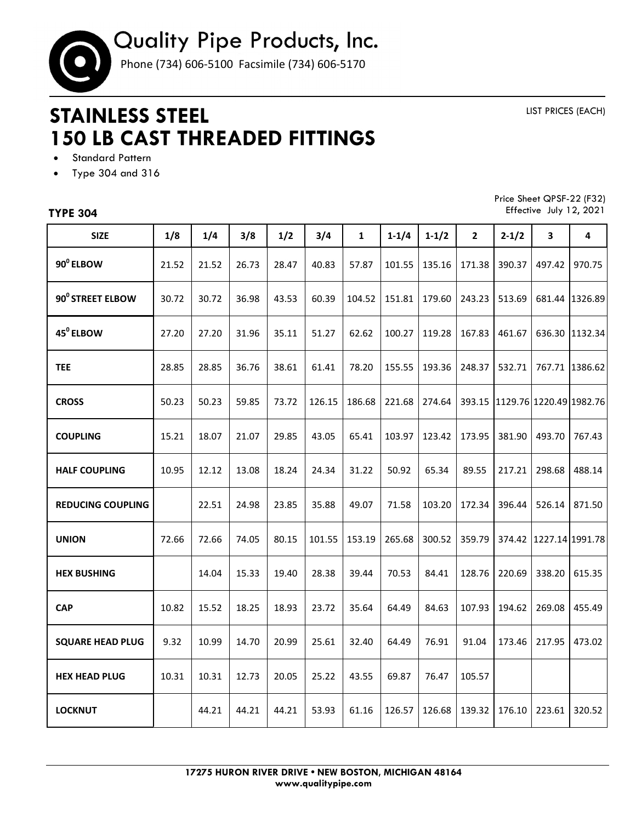

## **STAINLESS STEEL 150 LB CAST THREADED FITTINGS**

LIST PRICES (EACH)

- **•** Standard Pattern
- Type 304 and 316

## **TYPE 304**

Price Sheet QPSF-22 (F32) Effective July 12, 2021

| <b>SIZE</b>              | 1/8   | 1/4   | 3/8   | 1/2   | 3/4    | $\mathbf{1}$ | $1 - 1/4$ | $1-1/2$ | $\mathbf{2}$ | $2 - 1/2$               | 3               | 4              |
|--------------------------|-------|-------|-------|-------|--------|--------------|-----------|---------|--------------|-------------------------|-----------------|----------------|
|                          |       |       |       |       |        |              |           |         |              |                         |                 |                |
| 90 <sup>0</sup> ELBOW    | 21.52 | 21.52 | 26.73 | 28.47 | 40.83  | 57.87        | 101.55    | 135.16  | 171.38       | 390.37                  | 497.42          | 970.75         |
| 90° STREET ELBOW         | 30.72 | 30.72 | 36.98 | 43.53 | 60.39  | 104.52       | 151.81    | 179.60  | 243.23       | 513.69                  | 681.44          | 1326.89        |
| 45 <sup>°</sup> ELBOW    | 27.20 | 27.20 | 31.96 | 35.11 | 51.27  | 62.62        | 100.27    | 119.28  | 167.83       | 461.67                  |                 | 636.30 1132.34 |
| <b>TEE</b>               | 28.85 | 28.85 | 36.76 | 38.61 | 61.41  | 78.20        | 155.55    | 193.36  | 248.37       | 532.71                  |                 | 767.71 1386.62 |
| <b>CROSS</b>             | 50.23 | 50.23 | 59.85 | 73.72 | 126.15 | 186.68       | 221.68    | 274.64  | 393.15       | 1129.76 1220.49 1982.76 |                 |                |
| <b>COUPLING</b>          | 15.21 | 18.07 | 21.07 | 29.85 | 43.05  | 65.41        | 103.97    | 123.42  | 173.95       | 381.90                  | 493.70          | 767.43         |
| <b>HALF COUPLING</b>     | 10.95 | 12.12 | 13.08 | 18.24 | 24.34  | 31.22        | 50.92     | 65.34   | 89.55        | 217.21                  | 298.68          | 488.14         |
| <b>REDUCING COUPLING</b> |       | 22.51 | 24.98 | 23.85 | 35.88  | 49.07        | 71.58     | 103.20  | 172.34       | 396.44                  | 526.14          | 871.50         |
| <b>UNION</b>             | 72.66 | 72.66 | 74.05 | 80.15 | 101.55 | 153.19       | 265.68    | 300.52  | 359.79       | 374.42                  | 1227.14 1991.78 |                |
| <b>HEX BUSHING</b>       |       | 14.04 | 15.33 | 19.40 | 28.38  | 39.44        | 70.53     | 84.41   | 128.76       | 220.69                  | 338.20          | 615.35         |
| <b>CAP</b>               | 10.82 | 15.52 | 18.25 | 18.93 | 23.72  | 35.64        | 64.49     | 84.63   | 107.93       | 194.62                  | 269.08          | 455.49         |
| <b>SQUARE HEAD PLUG</b>  | 9.32  | 10.99 | 14.70 | 20.99 | 25.61  | 32.40        | 64.49     | 76.91   | 91.04        | 173.46                  | 217.95          | 473.02         |
| <b>HEX HEAD PLUG</b>     | 10.31 | 10.31 | 12.73 | 20.05 | 25.22  | 43.55        | 69.87     | 76.47   | 105.57       |                         |                 |                |
| <b>LOCKNUT</b>           |       | 44.21 | 44.21 | 44.21 | 53.93  | 61.16        | 126.57    | 126.68  | 139.32       | 176.10                  | 223.61          | 320.52         |